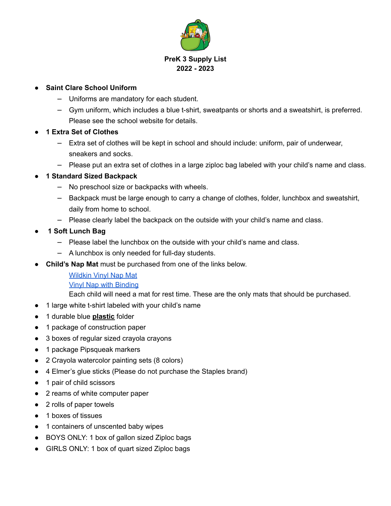

## **● Saint Clare School Uniform**

- ⎼ Uniforms are mandatory for each student.
- ⎼ Gym uniform, which includes a blue t-shirt, sweatpants or shorts and a sweatshirt, is preferred. Please see the school website for details.
- **1 Extra Set of Clothes**
	- ⎼ Extra set of clothes will be kept in school and should include: uniform, pair of underwear, sneakers and socks.
	- $-$  Please put an extra set of clothes in a large ziploc bag labeled with your child's name and class.
- **● 1 Standard Sized Backpack**
	- ⎼ No preschool size or backpacks with wheels.
	- $-$  Backpack must be large enough to carry a change of clothes, folder, lunchbox and sweatshirt, daily from home to school.
	- Please clearly label the backpack on the outside with your child's name and class.
- **● 1 Soft Lunch Bag**
	- Please label the lunchbox on the outside with your child's name and class.
	- ⎼ A lunchbox is only needed for full-day students.
- **Child's Nap Mat** must be purchased from one of the links below.

[Wildkin](https://www.amazon.com/dp/B0964KDSFJ?ref_=cm_sw_r_cp_ud_dp_0P4CYPHSN10NETRSWF32) Vinyl Nap Mat Vinyl Nap with [Binding](https://www.amazon.com/dp/B01IRZLI1Y?ref_=cm_sw_r_cp_ud_dp_GZ929ZVATCA2XF5SKT9G)

Each child will need a mat for rest time. These are the only mats that should be purchased.

- 1 large white t-shirt labeled with your child's name
- 1 durable blue **plastic** folder
- 1 package of construction paper
- 3 boxes of regular sized crayola crayons
- 1 package Pipsqueak markers
- 2 Crayola watercolor painting sets (8 colors)
- 4 Elmer's glue sticks (Please do not purchase the Staples brand)
- 1 pair of child scissors
- 2 reams of white computer paper
- 2 rolls of paper towels
- 1 boxes of tissues
- 1 containers of unscented baby wipes
- BOYS ONLY: 1 box of gallon sized Ziploc bags
- GIRLS ONLY: 1 box of quart sized Ziploc bags